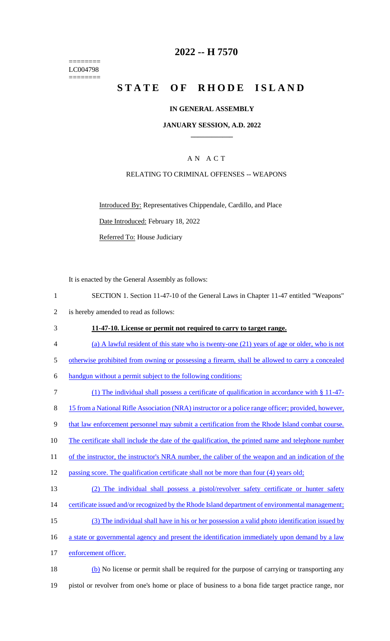======== LC004798 ========

## **2022 -- H 7570**

# **STATE OF RHODE ISLAND**

#### **IN GENERAL ASSEMBLY**

#### **JANUARY SESSION, A.D. 2022 \_\_\_\_\_\_\_\_\_\_\_\_**

## A N A C T

### RELATING TO CRIMINAL OFFENSES -- WEAPONS

Introduced By: Representatives Chippendale, Cardillo, and Place

Date Introduced: February 18, 2022

Referred To: House Judiciary

It is enacted by the General Assembly as follows:

- 1 SECTION 1. Section 11-47-10 of the General Laws in Chapter 11-47 entitled "Weapons" 2 is hereby amended to read as follows:
- 3 **11-47-10. License or permit not required to carry to target range.**
- 4 (a) A lawful resident of this state who is twenty-one (21) years of age or older, who is not
- 5 otherwise prohibited from owning or possessing a firearm, shall be allowed to carry a concealed
- 6 handgun without a permit subject to the following conditions:
- 7 (1) The individual shall possess a certificate of qualification in accordance with § 11-47- 8 15 from a National Rifle Association (NRA) instructor or a police range officer; provided, however, 9 that law enforcement personnel may submit a certification from the Rhode Island combat course. 10 The certificate shall include the date of the qualification, the printed name and telephone number 11 of the instructor, the instructor's NRA number, the caliber of the weapon and an indication of the 12 passing score. The qualification certificate shall not be more than four (4) years old; 13 (2) The individual shall possess a pistol/revolver safety certificate or hunter safety 14 certificate issued and/or recognized by the Rhode Island department of environmental management; 15 (3) The individual shall have in his or her possession a valid photo identification issued by 16 a state or governmental agency and present the identification immediately upon demand by a law
- 17 enforcement officer.
- 18 (b) No license or permit shall be required for the purpose of carrying or transporting any 19 pistol or revolver from one's home or place of business to a bona fide target practice range, nor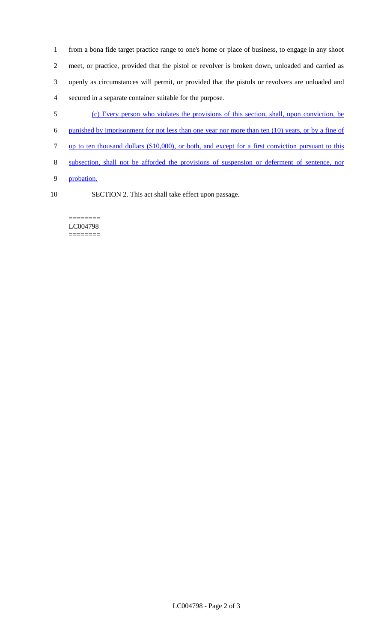- 1 from a bona fide target practice range to one's home or place of business, to engage in any shoot 2 meet, or practice, provided that the pistol or revolver is broken down, unloaded and carried as 3 openly as circumstances will permit, or provided that the pistols or revolvers are unloaded and 4 secured in a separate container suitable for the purpose.
- 5 (c) Every person who violates the provisions of this section, shall, upon conviction, be
- 6 punished by imprisonment for not less than one year nor more than ten (10) years, or by a fine of
- 7 up to ten thousand dollars (\$10,000), or both, and except for a first conviction pursuant to this
- 8 subsection, shall not be afforded the provisions of suspension or deferment of sentence, nor
- 9 probation.
- 
- 10 SECTION 2. This act shall take effect upon passage.

======== LC004798 ========